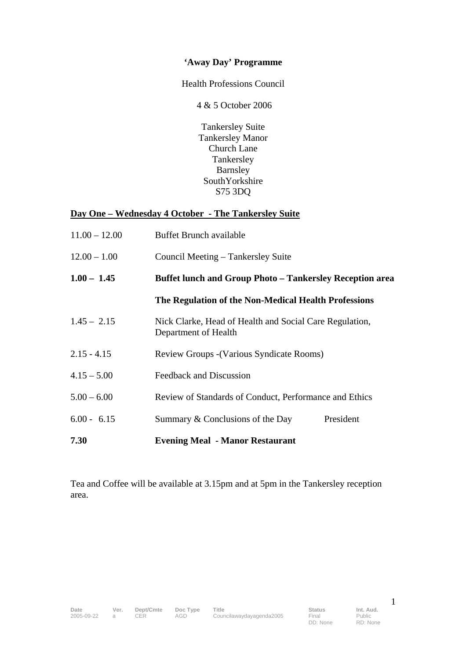# **'Away Day' Programme**

Health Professions Council

4 & 5 October 2006

Tankersley Suite Tankersley Manor Church Lane **Tankersley** Barnsley SouthYorkshire S75 3DQ

## **Day One – Wednesday 4 October - The Tankersley Suite**

| $11.00 - 12.00$ | Buffet Brunch available                                                         |  |  |
|-----------------|---------------------------------------------------------------------------------|--|--|
| $12.00 - 1.00$  | Council Meeting – Tankersley Suite                                              |  |  |
| $1.00 - 1.45$   | <b>Buffet lunch and Group Photo - Tankersley Reception area</b>                 |  |  |
|                 | The Regulation of the Non-Medical Health Professions                            |  |  |
| $1.45 - 2.15$   | Nick Clarke, Head of Health and Social Care Regulation,<br>Department of Health |  |  |
| $2.15 - 4.15$   | <b>Review Groups - (Various Syndicate Rooms)</b>                                |  |  |
| $4.15 - 5.00$   | Feedback and Discussion                                                         |  |  |
| $5.00 - 6.00$   | Review of Standards of Conduct, Performance and Ethics                          |  |  |
| $6.00 - 6.15$   | Summary & Conclusions of the Day<br>President                                   |  |  |
| 7.30            | <b>Evening Meal - Manor Restaurant</b>                                          |  |  |

Tea and Coffee will be available at 3.15pm and at 5pm in the Tankersley reception area.